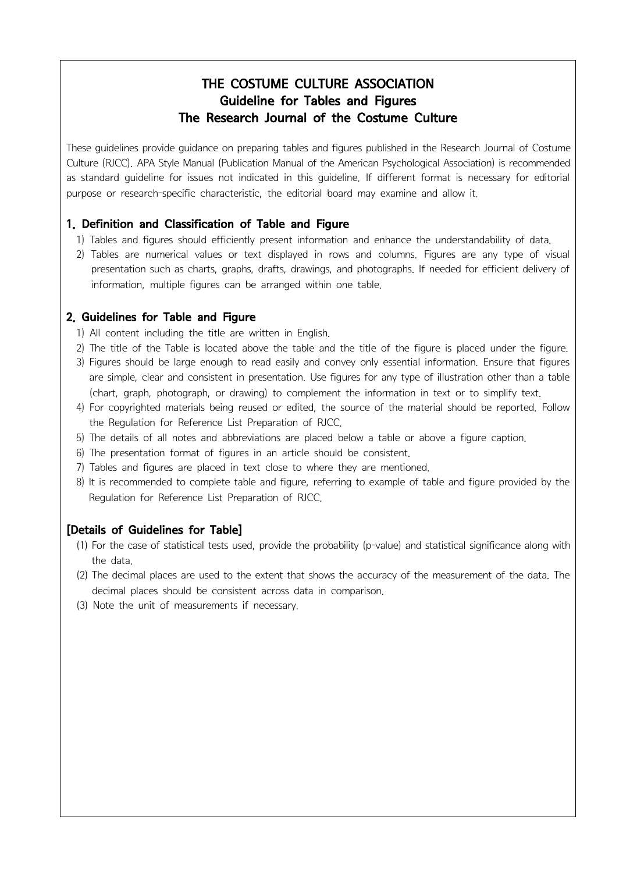## THE COSTUME CULTURE ASSOCIATION Guideline for Tables and Figures The Research Journal of the Costume Culture

These guidelines provide guidance on preparing tables and figures published in the Research Journal of Costume Culture (RJCC). APA Style Manual (Publication Manual of the American Psychological Association) is recommended as standard quideline for issues not indicated in this quideline. If different format is necessary for editorial purpose or research-specific characteristic, the editorial board may examine and allow it. **1)** The **Research Journal of the Costume Culture**<br>
These guidelines provide guidance on preparing tables and figures published in the Research Journal of Costume<br>
Culture (RJCC). APA Style Manual (Publication Manual of th

## 1. Definition and Classification of Table and Figure

- 
- presentation such as charts, graphs, drafts, drawings, and photographs. If needed for efficient delivery of information, multiple figures can be arranged within one table.

### 2. Guidelines for Table and Figure

- 
- **1. Definition and Classification of Table and Figure**<br>
1) Tables and figures should efficiently present information and enhance the understandability of data.<br>
2) Tables are numerical values or text displayed in rows and are simple, clear and consistent in presentation. Use figures for any type of illustration other than a table (chart, graph, photograph, or drawing)to complement their formation. The education is a chart in chart in chart in equipst.<br> **2. Guidelines for Table and Figure**<br>
1) All content including the title are written in English **2. Guidelines for Table and Figure**<br>
1) All content including the title are written in English.<br>
2) The title of the Table is located above the table and the title of the figure is placed under the figure.<br>
3) Figures sh
	-
	-
	-
	-
	- Regulation for Reference List Preparation of RJCC.

## [Details of Guidelines for Table]

- (1)For copyrighted materials deling retisted or eduted, the solide of the material should be reported. Follow<br>
(1) For declision for Reference List Preparation of RICC.<br>
(5) The presentation format of figures in an article The decimal of all notes and aboreviations are piaced below a table or above a figure caption.<br>
(6) The presentation format of figures in an article should be consistent.<br>
(7) Tables and figures are placed in text close to decimal places should be complete table and figure, referring to example of tak<br>Regulation for Reference List Preparation of RJCC.<br>**[Details of Guidelines for Table]**<br>(1) For the case of statistical tests used, provide the
	-
	-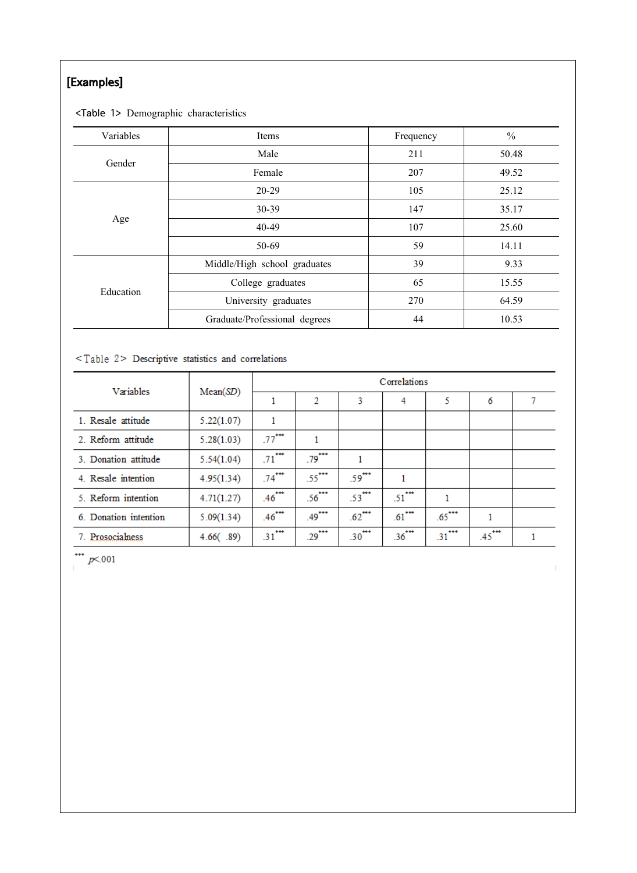# [Examples]

## <Table 1> Demographic characteristics

| Variables | Items                         | Frequency | $\frac{0}{0}$ |
|-----------|-------------------------------|-----------|---------------|
|           | Male                          | 211       | 50.48         |
| Gender    | Female                        | 207       | 49.52         |
| Age       | $20-29$                       | 105       | 25.12         |
|           | $30 - 39$                     | 147       | 35.17         |
|           | $40 - 49$                     | 107       | 25.60         |
|           | 50-69                         | 59        | 14.11         |
| Education | Middle/High school graduates  | 39        | 9.33          |
|           | College graduates             | 65        | 15.55         |
|           | University graduates          | 270       | 64.59         |
|           | Graduate/Professional degrees | 44        | 10.53         |

#### $<$ Table 2> Descriptive statistics and correlations

| Variables             | Mean(SD)   | Correlations         |                      |                      |                      |          |          |  |
|-----------------------|------------|----------------------|----------------------|----------------------|----------------------|----------|----------|--|
|                       |            |                      | $\overline{2}$       | 3                    | 4                    | 5        | 6        |  |
| 1. Resale attitude    | 5.22(1.07) |                      |                      |                      |                      |          |          |  |
| 2. Reform attitude    | 5.28(1.03) | $.77***$             |                      |                      |                      |          |          |  |
| 3. Donation attitude  | 5.54(1.04) | .71                  | $.79$ ***            |                      |                      |          |          |  |
| 4. Resale intention   | 4.95(1.34) | $.74$ <sup>***</sup> | $.55***$             | $.59***$             |                      |          |          |  |
| 5. Reform intention   | 4.71(1.27) | .46                  | $.56$ <sup>***</sup> | $.53$ <sup>***</sup> | ***<br>.51           |          |          |  |
| 6. Donation intention | 5.09(1.34) | $.46***$             | $.49***$             | $.62$ <sup>***</sup> | $.61$ <sup>***</sup> | $.65***$ |          |  |
| 7. Prosocialness      | 4.66(.89)  | 31                   | $.29***$             | $30^{***}$           | .36                  | 31       | $.45***$ |  |

Ľ

 $\cdots p<sub>001</sub>$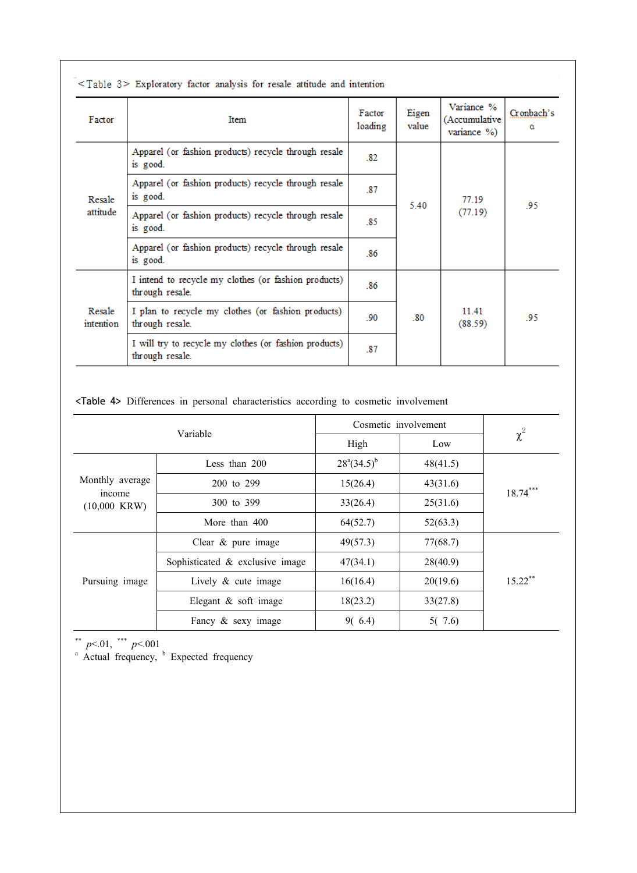|                     | $\leq$ Table $3$ > Exploratory factor analysis for resale attitude and intention |                   |                |                                            |                 |
|---------------------|----------------------------------------------------------------------------------|-------------------|----------------|--------------------------------------------|-----------------|
| Factor              | Item                                                                             | Factor<br>loading | Eigen<br>value | Variance %<br>(Accumulative<br>variance %) | Cronbach's<br>α |
| Resale<br>attitude  | Apparel (or fashion products) recycle through resale<br>is good.                 | .82               |                | 77.19                                      | .95             |
|                     | Apparel (or fashion products) recycle through resale<br>is good.                 | .87               | 5.40           |                                            |                 |
|                     | Apparel (or fashion products) recycle through resale<br>is good.                 | .85               | (77.19)        |                                            |                 |
|                     | Apparel (or fashion products) recycle through resale<br>is good.                 | .86               |                |                                            |                 |
|                     | I intend to recycle my clothes (or fashion products)<br>through resale.          | .86               |                |                                            | .95             |
| Resale<br>intention | I plan to recycle my clothes (or fashion products)<br>through resale.            | .90               | -80            | 11.41<br>(88.59)                           |                 |
|                     | I will try to recycle my clothes (or fashion products)<br>through resale.        | .87               |                |                                            |                 |

## <Table 4> Differences in personal characteristics according to cosmetic involvement

| Variable                                            |                                 | Cosmetic involvement       |          |            |
|-----------------------------------------------------|---------------------------------|----------------------------|----------|------------|
|                                                     |                                 | High<br>Low                |          | $\chi^2$   |
| Monthly average<br>income<br>$(10,000 \text{ KRW})$ | Less than 200                   | $28^{\rm a}(34.5)^{\rm b}$ | 48(41.5) |            |
|                                                     | 200 to 299                      | 15(26.4)                   | 43(31.6) | $18.74***$ |
|                                                     | 300 to 399                      | 33(26.4)                   | 25(31.6) |            |
|                                                     | More than 400                   | 64(52.7)                   | 52(63.3) |            |
| Pursuing image                                      | Clear & pure image              | 49(57.3)                   | 77(68.7) |            |
|                                                     | Sophisticated & exclusive image | 47(34.1)                   | 28(40.9) | $15.22$ ** |
|                                                     | Lively & cute image             | 16(16.4)                   | 20(19.6) |            |
|                                                     | Elegant $\&$ soft image         | 18(23.2)                   | 33(27.8) |            |
|                                                     | Fancy & sexy image              | 9(6.4)                     | 5(7.6)   |            |

\*\* *p*<.01, \*\*\* *p*<.001

<sup>a</sup> Actual frequency, <sup>b</sup> Expected frequency